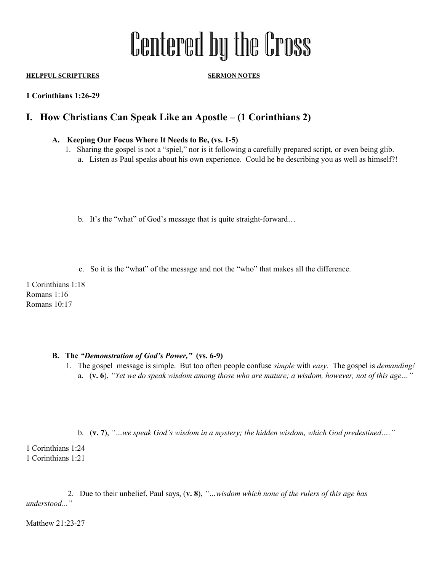# Centered by the Cross

**HELPFUL SCRIPTURES SERMON NOTES**

**1 Corinthians 1:26-29**

# **I. How Christians Can Speak Like an Apostle – (1 Corinthians 2)**

## **A. Keeping Our Focus Where It Needs to Be, (vs. 1-5)**

- 1. Sharing the gospel is not a "spiel," nor is it following a carefully prepared script, or even being glib.
	- a. Listen as Paul speaks about his own experience. Could he be describing you as well as himself?!
	- b. It's the "what" of God's message that is quite straight-forward…
	- c. So it is the "what" of the message and not the "who" that makes all the difference.

1 Corinthians 1:18 Romans 1:16 Romans 10:17

### **B. The** *"Demonstration of God's Power,"* **(vs. 6-9)**

- 1. The gospel message is simple. But too often people confuse *simple* with *easy.* The gospel is *demanding!* a. (**v. 6**), *"Yet we do speak wisdom among those who are mature; a wisdom, however, not of this age…"*
	- b. (**v. 7**), *"…we speak God's wisdom in a mystery; the hidden wisdom, which God predestined…."*

1 Corinthians 1:24 1 Corinthians 1:21

 2. Due to their unbelief, Paul says, (**v. 8**), *"…wisdom which none of the rulers of this age has understood..."* 

Matthew 21:23-27